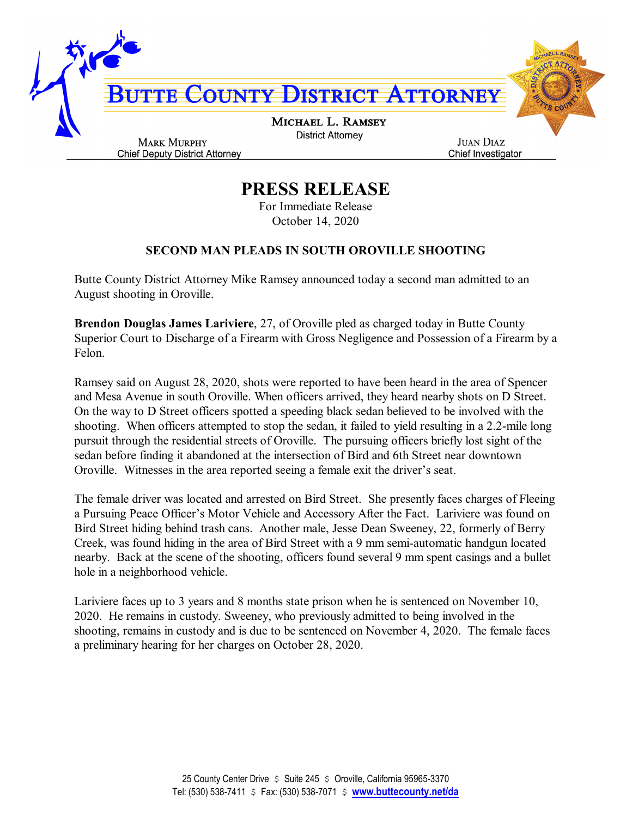

## **PRESS RELEASE**

For Immediate Release October 14, 2020

## **SECOND MAN PLEADS IN SOUTH OROVILLE SHOOTING**

Butte County District Attorney Mike Ramsey announced today a second man admitted to an August shooting in Oroville.

**Brendon Douglas James Lariviere**, 27, of Oroville pled as charged today in Butte County Superior Court to Discharge of a Firearm with Gross Negligence and Possession of a Firearm by a Felon.

Ramsey said on August 28, 2020, shots were reported to have been heard in the area of Spencer and Mesa Avenue in south Oroville. When officers arrived, they heard nearby shots on D Street. On the way to D Street officers spotted a speeding black sedan believed to be involved with the shooting. When officers attempted to stop the sedan, it failed to yield resulting in a 2.2-mile long pursuit through the residential streets of Oroville. The pursuing officers briefly lost sight of the sedan before finding it abandoned at the intersection of Bird and 6th Street near downtown Oroville. Witnesses in the area reported seeing a female exit the driver's seat.

The female driver was located and arrested on Bird Street. She presently faces charges of Fleeing a Pursuing Peace Officer's Motor Vehicle and Accessory After the Fact. Lariviere was found on Bird Street hiding behind trash cans. Another male, Jesse Dean Sweeney, 22, formerly of Berry Creek, was found hiding in the area of Bird Street with a 9 mm semi-automatic handgun located nearby. Back at the scene of the shooting, officers found several 9 mm spent casings and a bullet hole in a neighborhood vehicle.

Lariviere faces up to 3 years and 8 months state prison when he is sentenced on November 10, 2020. He remains in custody. Sweeney, who previously admitted to being involved in the shooting, remains in custody and is due to be sentenced on November 4, 2020. The female faces a preliminary hearing for her charges on October 28, 2020.